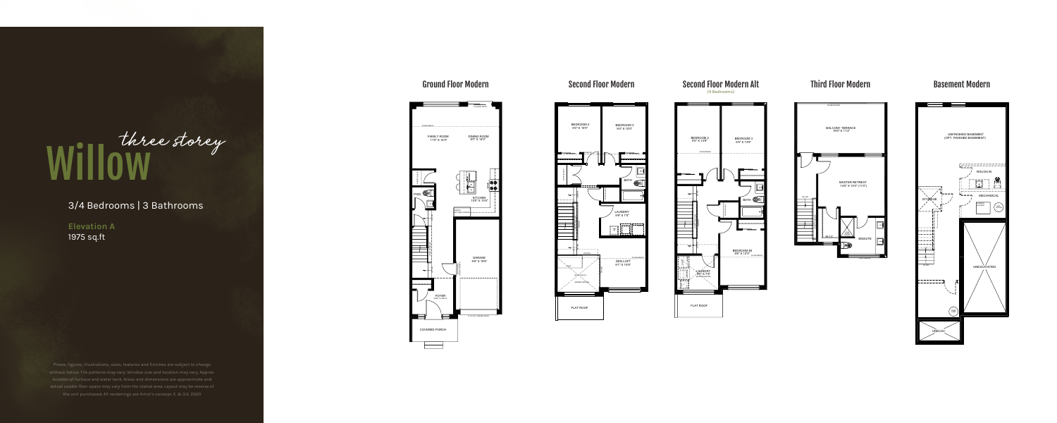3/4 Bedrooms | 3 Bathrooms

**Elevation A**  1975 sq.ft

## Ground Floor Modern



GLASS RAILING BALCONY TERRACE 19'0" X 11'2" MASTER RETREAT 14'6" X 13'0" (11'0") DN 15R OPEN TO BELOW 36X50 SHOWER W.I.C. . . **ENSUITE** 



# Willow three storey